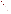